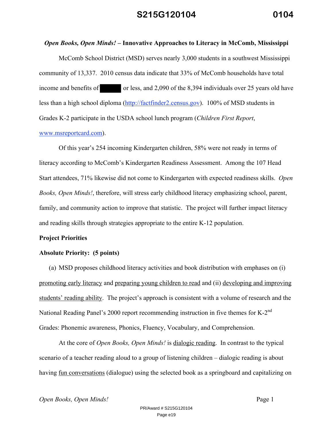### *Open Books, Open Minds!* **– Innovative Approaches to Literacy in McComb, Mississippi**

McComb School District (MSD) serves nearly 3,000 students in a southwest Mississippi community of 13,337. 2010 census data indicate that 33% of McComb households have total income and benefits of or less, and 2,090 of the 8,394 individuals over 25 years old have less than a high school diploma (http://factfinder2.census.gov). 100% of MSD students in Grades K-2 participate in the USDA school lunch program (*Children First Report*, www.msreportcard.com).

Of this year's 254 incoming Kindergarten children, 58% were not ready in terms of literacy according to McComb's Kindergarten Readiness Assessment. Among the 107 Head Start attendees, 71% likewise did not come to Kindergarten with expected readiness skills. *Open Books, Open Minds!*, therefore, will stress early childhood literacy emphasizing school, parent, family, and community action to improve that statistic. The project will further impact literacy and reading skills through strategies appropriate to the entire K-12 population.

#### **Project Priorities**

#### **Absolute Priority: (5 points)**

(a) MSD proposes childhood literacy activities and book distribution with emphases on (i) promoting early literacy and preparing young children to read and (ii) developing and improving students' reading ability. The project's approach is consistent with a volume of research and the National Reading Panel's 2000 report recommending instruction in five themes for K-2<sup>nd</sup> Grades: Phonemic awareness, Phonics, Fluency, Vocabulary, and Comprehension.

At the core of *Open Books, Open Minds!* is dialogic reading. In contrast to the typical scenario of a teacher reading aloud to a group of listening children – dialogic reading is about having <u>fun conversations</u> (dialogue) using the selected book as a springboard and capitalizing on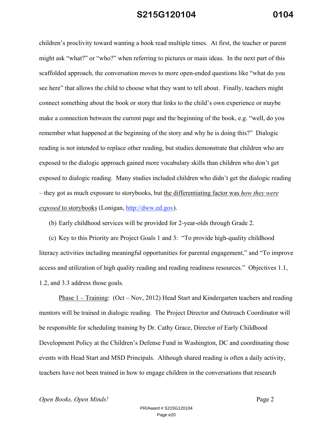children's proclivity toward wanting a book read multiple times. At first, the teacher or parent might ask "what?" or "who?" when referring to pictures or main ideas. In the next part of this scaffolded approach, the conversation moves to more open-ended questions like "what do you see here" that allows the child to choose what they want to tell about. Finally, teachers might connect something about the book or story that links to the child's own experience or maybe make a connection between the current page and the beginning of the book, e.g. "well, do you remember what happened at the beginning of the story and why he is doing this?" Dialogic reading is not intended to replace other reading, but studies demonstrate that children who are exposed to the dialogic approach gained more vocabulary skills than children who don't get exposed to dialogic reading. Many studies included children who didn't get the dialogic reading – they got as much exposure to storybooks, but the differentiating factor was *how they were exposed* to storybooks (Lonigan, http://dww.ed.gov).

(b) Early childhood services will be provided for 2-year-olds through Grade 2.

(c) Key to this Priority are Project Goals 1 and 3: "To provide high-quality childhood literacy activities including meaningful opportunities for parental engagement," and "To improve access and utilization of high quality reading and reading readiness resources." Objectives 1.1, 1.2, and 3.3 address those goals.

Phase 1 – Training: (Oct – Nov, 2012) Head Start and Kindergarten teachers and reading mentors will be trained in dialogic reading. The Project Director and Outreach Coordinator will be responsible for scheduling training by Dr. Cathy Grace, Director of Early Childhood Development Policy at the Children's Defense Fund in Washington, DC and coordinating those events with Head Start and MSD Principals. Although shared reading is often a daily activity, teachers have not been trained in how to engage children in the conversations that research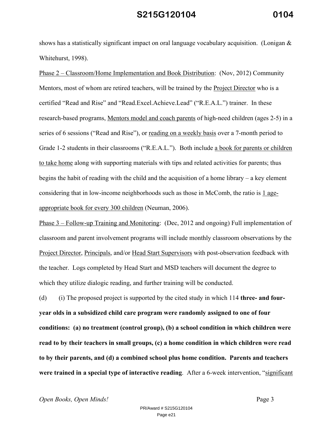shows has a statistically significant impact on oral language vocabulary acquisition. (Lonigan  $\&$ Whitehurst, 1998).

Phase 2 – Classroom/Home Implementation and Book Distribution: (Nov, 2012) Community Mentors, most of whom are retired teachers, will be trained by the Project Director who is a certified "Read and Rise" and "Read.Excel.Achieve.Lead" ("R.E.A.L.") trainer. In these research-based programs, Mentors model and coach parents of high-need children (ages 2-5) in a series of 6 sessions ("Read and Rise"), or reading on a weekly basis over a 7-month period to Grade 1-2 students in their classrooms ("R.E.A.L."). Both include a book for parents or children to take home along with supporting materials with tips and related activities for parents; thus begins the habit of reading with the child and the acquisition of a home library – a key element considering that in low-income neighborhoods such as those in McComb, the ratio is 1 ageappropriate book for every 300 children (Neuman, 2006).

Phase 3 – Follow-up Training and Monitoring: (Dec, 2012 and ongoing) Full implementation of classroom and parent involvement programs will include monthly classroom observations by the Project Director, Principals, and/or Head Start Supervisors with post-observation feedback with the teacher. Logs completed by Head Start and MSD teachers will document the degree to which they utilize dialogic reading, and further training will be conducted.

(d) (i) The proposed project is supported by the cited study in which 114 **three- and fouryear olds in a subsidized child care program were randomly assigned to one of four conditions: (a) no treatment (control group), (b) a school condition in which children were read to by their teachers in small groups, (c) a home condition in which children were read to by their parents, and (d) a combined school plus home condition. Parents and teachers were trained in a special type of interactive reading**. After a 6-week intervention, "significant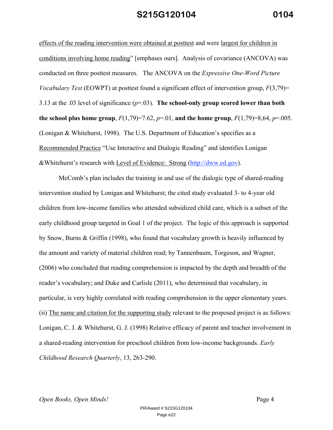effects of the reading intervention were obtained at posttest and were largest for children in conditions involving home reading" [emphases ours]. Analysis of covariance (ANCOVA) was conducted on three posttest measures. The ANCOVA on the *Expressive One-Word Picture Vocabulary Test* (EOWPT) at posttest found a significant effect of intervention group, *F*(3,79)= 3.13 at the .03 level of significance (*p*=.03). **The school-only group scored lower than both the school plus home group**,  $F(1,79)=7.62$ ,  $p=.01$ , and the home group,  $F(1,79)=8,64$ ,  $p=.005$ . (Lonigan & Whitehurst, 1998). The U.S. Department of Education's specifies as a Recommended Practice "Use Interactive and Dialogic Reading" and identifies Lonigan &Whitehurst's research with Level of Evidence: Strong (http://dww.ed.gov).

McComb's plan includes the training in and use of the dialogic type of shared-reading intervention studied by Lonigan and Whitehurst; the cited study evaluated 3- to 4-year old children from low-income families who attended subsidized child care, which is a subset of the early childhood group targeted in Goal 1 of the project. The logic of this approach is supported by Snow, Burns & Griffin (1998), who found that vocabulary growth is heavily influenced by the amount and variety of material children read; by Tannenbaum, Torgeson, and Wagner, (2006) who concluded that reading comprehension is impacted by the depth and breadth of the reader's vocabulary; and Duke and Carlisle (2011), who determined that vocabulary, in particular, is very highly correlated with reading comprehension in the upper elementary years. (ii) The name and citation for the supporting study relevant to the proposed project is as follows: Lonigan, C. J. & Whitehurst, G. J. (1998) Relative efficacy of parent and teacher involvement in a shared-reading intervention for preschool children from low-income backgrounds. *Early Childhood Research Quarterly*, 13, 263-290.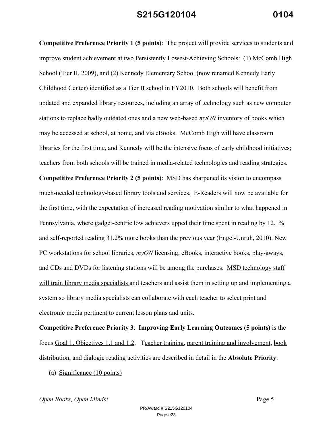**Competitive Preference Priority 1 (5 points)**: The project will provide services to students and improve student achievement at two Persistently Lowest-Achieving Schools: (1) McComb High School (Tier II, 2009), and (2) Kennedy Elementary School (now renamed Kennedy Early Childhood Center) identified as a Tier II school in FY2010. Both schools will benefit from updated and expanded library resources, including an array of technology such as new computer stations to replace badly outdated ones and a new web-based *myON* inventory of books which may be accessed at school, at home, and via eBooks. McComb High will have classroom libraries for the first time, and Kennedy will be the intensive focus of early childhood initiatives; teachers from both schools will be trained in media-related technologies and reading strategies. **Competitive Preference Priority 2 (5 points)**: MSD has sharpened its vision to encompass much-needed technology-based library tools and services. E-Readers will now be available for the first time, with the expectation of increased reading motivation similar to what happened in Pennsylvania, where gadget-centric low achievers upped their time spent in reading by 12.1% and self-reported reading 31.2% more books than the previous year (Engel-Unruh, 2010). New PC workstations for school libraries, *myON* licensing, eBooks, interactive books, play-aways, and CDs and DVDs for listening stations will be among the purchases. MSD technology staff will train library media specialists and teachers and assist them in setting up and implementing a system so library media specialists can collaborate with each teacher to select print and electronic media pertinent to current lesson plans and units.

**Competitive Preference Priority 3**: **Improving Early Learning Outcomes (5 points)** is the focus Goal 1, Objectives 1.1 and 1.2. Teacher training, parent training and involvement, book distribution, and dialogic reading activities are described in detail in the **Absolute Priority**.

(a) Significance (10 points)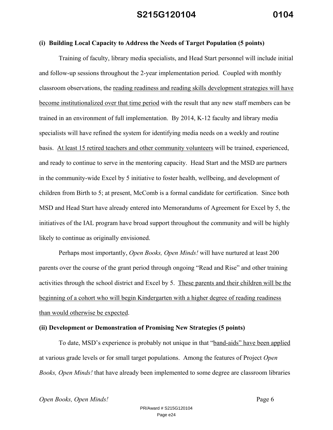### **(i) Building Local Capacity to Address the Needs of Target Population (5 points)**

Training of faculty, library media specialists, and Head Start personnel will include initial and follow-up sessions throughout the 2-year implementation period. Coupled with monthly classroom observations, the reading readiness and reading skills development strategies will have become institutionalized over that time period with the result that any new staff members can be trained in an environment of full implementation. By 2014, K-12 faculty and library media specialists will have refined the system for identifying media needs on a weekly and routine basis. At least 15 retired teachers and other community volunteers will be trained, experienced, and ready to continue to serve in the mentoring capacity. Head Start and the MSD are partners in the community-wide Excel by 5 initiative to foster health, wellbeing, and development of children from Birth to 5; at present, McComb is a formal candidate for certification. Since both MSD and Head Start have already entered into Memorandums of Agreement for Excel by 5, the initiatives of the IAL program have broad support throughout the community and will be highly likely to continue as originally envisioned.

Perhaps most importantly, *Open Books, Open Minds!* will have nurtured at least 200 parents over the course of the grant period through ongoing "Read and Rise" and other training activities through the school district and Excel by 5. These parents and their children will be the beginning of a cohort who will begin Kindergarten with a higher degree of reading readiness than would otherwise be expected.

#### **(ii) Development or Demonstration of Promising New Strategies (5 points)**

To date, MSD's experience is probably not unique in that "band-aids" have been applied at various grade levels or for small target populations. Among the features of Project *Open Books, Open Minds!* that have already been implemented to some degree are classroom libraries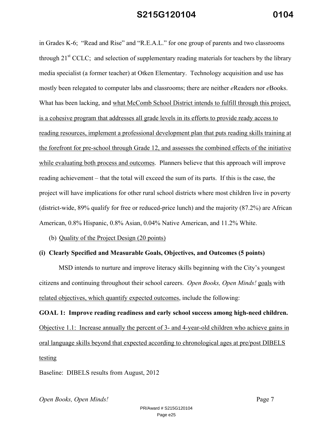in Grades K-6; "Read and Rise" and "R.E.A.L." for one group of parents and two classrooms through  $21<sup>st</sup> CCLC$ ; and selection of supplementary reading materials for teachers by the library media specialist (a former teacher) at Otken Elementary. Technology acquisition and use has mostly been relegated to computer labs and classrooms; there are neither *e*Readers nor *e*Books. What has been lacking, and what McComb School District intends to fulfill through this project, is a cohesive program that addresses all grade levels in its efforts to provide ready access to reading resources, implement a professional development plan that puts reading skills training at the forefront for pre-school through Grade 12, and assesses the combined effects of the initiative while evaluating both process and outcomes. Planners believe that this approach will improve reading achievement – that the total will exceed the sum of its parts. If this is the case, the project will have implications for other rural school districts where most children live in poverty (district-wide, 89% qualify for free or reduced-price lunch) and the majority (87.2%) are African American, 0.8% Hispanic, 0.8% Asian, 0.04% Native American, and 11.2% White.

(b) Quality of the Project Design (20 points)

#### **(i) Clearly Specified and Measurable Goals, Objectives, and Outcomes (5 points)**

MSD intends to nurture and improve literacy skills beginning with the City's youngest citizens and continuing throughout their school careers. *Open Books, Open Minds!* goals with related objectives, which quantify expected outcomes, include the following:

**GOAL 1: Improve reading readiness and early school success among high-need children.** Objective 1.1: Increase annually the percent of 3- and 4-year-old children who achieve gains in oral language skills beyond that expected according to chronological ages at pre/post DIBELS testing

Baseline: DIBELS results from August, 2012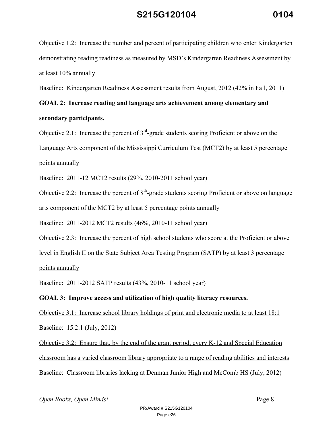Objective 1.2: Increase the number and percent of participating children who enter Kindergarten demonstrating reading readiness as measured by MSD's Kindergarten Readiness Assessment by at least 10% annually

Baseline: Kindergarten Readiness Assessment results from August, 2012 (42% in Fall, 2011)

**GOAL 2: Increase reading and language arts achievement among elementary and secondary participants.**

Objective 2.1: Increase the percent of  $3<sup>rd</sup>$ -grade students scoring Proficient or above on the Language Arts component of the Mississippi Curriculum Test (MCT2) by at least 5 percentage points annually

Baseline: 2011-12 MCT2 results (29%, 2010-2011 school year)

Objective 2.2: Increase the percent of  $8<sup>th</sup>$ -grade students scoring Proficient or above on language arts component of the MCT2 by at least 5 percentage points annually

Baseline: 2011-2012 MCT2 results (46%, 2010-11 school year)

Objective 2.3: Increase the percent of high school students who score at the Proficient or above level in English II on the State Subject Area Testing Program (SATP) by at least 3 percentage points annually

Baseline: 2011-2012 SATP results (43%, 2010-11 school year)

### **GOAL 3: Improve access and utilization of high quality literacy resources.**

Objective 3.1: Increase school library holdings of print and electronic media to at least 18:1 Baseline: 15.2:1 (July, 2012)

Objective 3.2: Ensure that, by the end of the grant period, every K-12 and Special Education classroom has a varied classroom library appropriate to a range of reading abilities and interests Baseline: Classroom libraries lacking at Denman Junior High and McComb HS (July, 2012)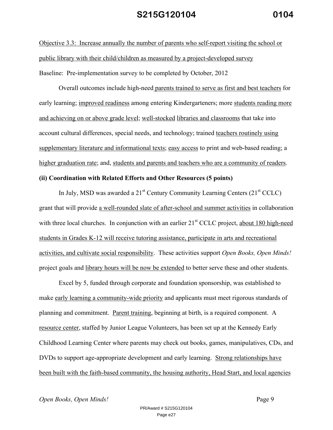Objective 3.3: Increase annually the number of parents who self-report visiting the school or public library with their child/children as measured by a project-developed survey Baseline: Pre-implementation survey to be completed by October, 2012

Overall outcomes include high-need parents trained to serve as first and best teachers for early learning; improved readiness among entering Kindergarteners; more students reading more and achieving on or above grade level; well-stocked libraries and classrooms that take into account cultural differences, special needs, and technology; trained teachers routinely using supplementary literature and informational texts; easy access to print and web-based reading; a higher graduation rate; and, students and parents and teachers who are a community of readers.

### **(ii) Coordination with Related Efforts and Other Resources (5 points)**

In July, MSD was awarded a  $21^{st}$  Century Community Learning Centers  $(21^{st}$  CCLC) grant that will provide a well-rounded slate of after-school and summer activities in collaboration with three local churches. In conjunction with an earlier 21<sup>st</sup> CCLC project, about 180 high-need students in Grades K-12 will receive tutoring assistance, participate in arts and recreational activities, and cultivate social responsibility. These activities support *Open Books, Open Minds!* project goals and library hours will be now be extended to better serve these and other students.

Excel by 5, funded through corporate and foundation sponsorship, was established to make early learning a community-wide priority and applicants must meet rigorous standards of planning and commitment. Parent training, beginning at birth, is a required component. A resource center, staffed by Junior League Volunteers, has been set up at the Kennedy Early Childhood Learning Center where parents may check out books, games, manipulatives, CDs, and DVDs to support age-appropriate development and early learning. Strong relationships have been built with the faith-based community, the housing authority, Head Start, and local agencies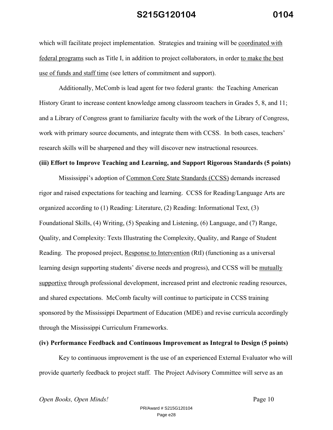which will facilitate project implementation. Strategies and training will be coordinated with federal programs such as Title I, in addition to project collaborators, in order to make the best use of funds and staff time (see letters of commitment and support).

Additionally, McComb is lead agent for two federal grants: the Teaching American History Grant to increase content knowledge among classroom teachers in Grades 5, 8, and 11; and a Library of Congress grant to familiarize faculty with the work of the Library of Congress, work with primary source documents, and integrate them with CCSS. In both cases, teachers' research skills will be sharpened and they will discover new instructional resources.

#### **(iii) Effort to Improve Teaching and Learning, and Support Rigorous Standards (5 points)**

Mississippi's adoption of Common Core State Standards (CCSS) demands increased rigor and raised expectations for teaching and learning. CCSS for Reading/Language Arts are organized according to (1) Reading: Literature, (2) Reading: Informational Text, (3) Foundational Skills, (4) Writing, (5) Speaking and Listening, (6) Language, and (7) Range, Quality, and Complexity: Texts Illustrating the Complexity, Quality, and Range of Student Reading. The proposed project, Response to Intervention (RtI) (functioning as a universal learning design supporting students' diverse needs and progress), and CCSS will be mutually supportive through professional development, increased print and electronic reading resources, and shared expectations. McComb faculty will continue to participate in CCSS training sponsored by the Mississippi Department of Education (MDE) and revise curricula accordingly through the Mississippi Curriculum Frameworks.

#### **(iv) Performance Feedback and Continuous Improvement as Integral to Design (5 points)**

Key to continuous improvement is the use of an experienced External Evaluator who will provide quarterly feedback to project staff. The Project Advisory Committee will serve as an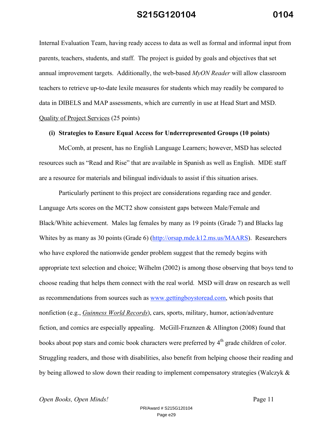Internal Evaluation Team, having ready access to data as well as formal and informal input from parents, teachers, students, and staff. The project is guided by goals and objectives that set annual improvement targets. Additionally, the web-based *MyON Reader* will allow classroom teachers to retrieve up-to-date lexile measures for students which may readily be compared to data in DIBELS and MAP assessments, which are currently in use at Head Start and MSD. Quality of Project Services (25 points)

#### **(i) Strategies to Ensure Equal Access for Underrepresented Groups (10 points)**

McComb, at present, has no English Language Learners; however, MSD has selected resources such as "Read and Rise" that are available in Spanish as well as English. MDE staff are a resource for materials and bilingual individuals to assist if this situation arises.

Particularly pertinent to this project are considerations regarding race and gender. Language Arts scores on the MCT2 show consistent gaps between Male/Female and Black/White achievement. Males lag females by many as 19 points (Grade 7) and Blacks lag Whites by as many as 30 points (Grade 6) (http://orsap.mde.k12.ms.us/MAARS). Researchers who have explored the nationwide gender problem suggest that the remedy begins with appropriate text selection and choice; Wilhelm (2002) is among those observing that boys tend to choose reading that helps them connect with the real world. MSD will draw on research as well as recommendations from sources such as www.gettingboystoread.com, which posits that nonfiction (e.g., *Guinness World Records*), cars, sports, military, humor, action/adventure fiction, and comics are especially appealing. McGill-Fraznzen & Allington (2008) found that books about pop stars and comic book characters were preferred by 4<sup>th</sup> grade children of color. Struggling readers, and those with disabilities, also benefit from helping choose their reading and by being allowed to slow down their reading to implement compensatory strategies (Walczyk &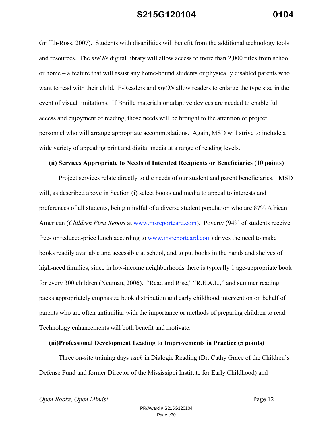Griffth-Ross, 2007). Students with disabilities will benefit from the additional technology tools and resources. The *myON* digital library will allow access to more than 2,000 titles from school or home – a feature that will assist any home-bound students or physically disabled parents who want to read with their child. E-Readers and *myON* allow readers to enlarge the type size in the event of visual limitations. If Braille materials or adaptive devices are needed to enable full access and enjoyment of reading, those needs will be brought to the attention of project personnel who will arrange appropriate accommodations. Again, MSD will strive to include a wide variety of appealing print and digital media at a range of reading levels.

#### **(ii) Services Appropriate to Needs of Intended Recipients or Beneficiaries (10 points)**

Project services relate directly to the needs of our student and parent beneficiaries. MSD will, as described above in Section (i) select books and media to appeal to interests and preferences of all students, being mindful of a diverse student population who are 87% African American (*Children First Report* at www.msreportcard.com). Poverty (94% of students receive free- or reduced-price lunch according to www.msreportcard.com) drives the need to make books readily available and accessible at school, and to put books in the hands and shelves of high-need families, since in low-income neighborhoods there is typically 1 age-appropriate book for every 300 children (Neuman, 2006). "Read and Rise," "R.E.A.L.," and summer reading packs appropriately emphasize book distribution and early childhood intervention on behalf of parents who are often unfamiliar with the importance or methods of preparing children to read. Technology enhancements will both benefit and motivate.

#### **(iii)Professional Development Leading to Improvements in Practice (5 points)**

Three on-site training days *each* in Dialogic Reading (Dr. Cathy Grace of the Children's Defense Fund and former Director of the Mississippi Institute for Early Childhood) and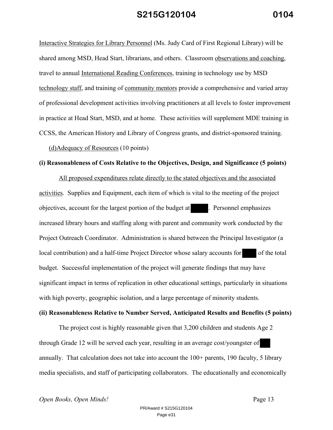Interactive Strategies for Library Personnel (Ms. Judy Card of First Regional Library) will be shared among MSD, Head Start, librarians, and others. Classroom observations and coaching, travel to annual International Reading Conferences, training in technology use by MSD technology staff, and training of community mentors provide a comprehensive and varied array of professional development activities involving practitioners at all levels to foster improvement in practice at Head Start, MSD, and at home. These activities will supplement MDE training in CCSS, the American History and Library of Congress grants, and district-sponsored training.

(d)Adequacy of Resources (10 points)

#### **(i) Reasonableness of Costs Relative to the Objectives, Design, and Significance (5 points)**

All proposed expenditures relate directly to the stated objectives and the associated activities. Supplies and Equipment, each item of which is vital to the meeting of the project objectives, account for the largest portion of the budget at . Personnel emphasizes increased library hours and staffing along with parent and community work conducted by the Project Outreach Coordinator. Administration is shared between the Principal Investigator (a local contribution) and a half-time Project Director whose salary accounts for of the total budget. Successful implementation of the project will generate findings that may have significant impact in terms of replication in other educational settings, particularly in situations with high poverty, geographic isolation, and a large percentage of minority students.

#### **(ii) Reasonableness Relative to Number Served, Anticipated Results and Benefits (5 points)**

The project cost is highly reasonable given that 3,200 children and students Age 2 through Grade 12 will be served each year, resulting in an average cost/youngster of annually. That calculation does not take into account the 100+ parents, 190 faculty, 5 library media specialists, and staff of participating collaborators. The educationally and economically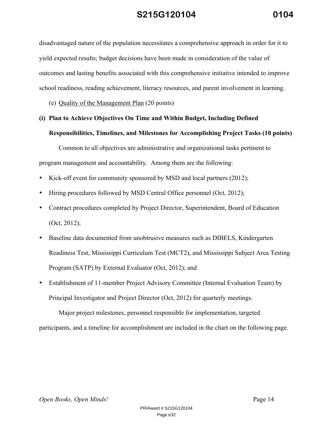disadvantaged nature of the population necessitates a comprehensive approach in order for it to yield expected results; budget decisions have been made in consideration of the value of outcomes and lasting benefits associated with this comprehensive initiative intended to improve school readiness, reading achievement, literacy resources, and parent involvement in learning.

(e) Quality of the Management Plan (20 points)

# **(i) Plan to Achieve Objectives On Time and Within Budget, Including Defined**

### **Responsibilities, Timelines, and Milestones for Accomplishing Project Tasks (10 points)**

Common to all objectives are administrative and organizational tasks pertinent to program management and accountability. Among them are the following:

- Kick-off event for community sponsored by MSD and local partners (2012);
- Hiring procedures followed by MSD Central Office personnel (Oct, 2012);
- Contract procedures completed by Project Director, Superintendent, Board of Education (Oct, 2012);
- Baseline data documented from unobtrusive measures such as DIBELS, Kindergarten Readiness Test, Mississippi Curriculum Test (MCT2), and Mississippi Subject Area Testing Program (SATP) by External Evaluator (Oct, 2012); and
- Establishment of 11-member Project Advisory Committee (Internal Evaluation Team) by Principal Investigator and Project Director (Oct, 2012) for quarterly meetings.

Major project milestones, personnel responsible for implementation, targeted participants, and a timeline for accomplishment are included in the chart on the following page.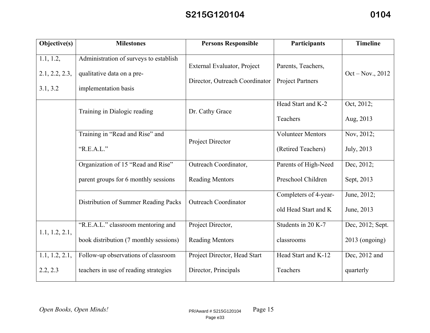| Objective(s)                            | <b>Milestones</b>                                                                            | <b>Persons Responsible</b>                                    | Participants                                   | <b>Timeline</b>                      |
|-----------------------------------------|----------------------------------------------------------------------------------------------|---------------------------------------------------------------|------------------------------------------------|--------------------------------------|
| 1.1, 1.2,<br>2.1, 2.2, 2.3,<br>3.1, 3.2 | Administration of surveys to establish<br>qualitative data on a pre-<br>implementation basis | External Evaluator, Project<br>Director, Outreach Coordinator | Parents, Teachers,<br><b>Project Partners</b>  | $Oct - Nov., 2012$                   |
|                                         | Training in Dialogic reading                                                                 | Dr. Cathy Grace                                               | Head Start and K-2<br>Teachers                 | Oct, 2012;<br>Aug, 2013              |
|                                         | Training in "Read and Rise" and<br>"R.E.A.L."                                                | Project Director                                              | <b>Volunteer Mentors</b><br>(Retired Teachers) | Nov, 2012;<br>July, 2013             |
|                                         | Organization of 15 "Read and Rise"                                                           | Outreach Coordinator,                                         | Parents of High-Need                           | Dec, 2012;                           |
|                                         | parent groups for 6 monthly sessions                                                         | <b>Reading Mentors</b>                                        | Preschool Children                             | Sept, 2013                           |
|                                         | Distribution of Summer Reading Packs                                                         | <b>Outreach Coordinator</b>                                   | Completers of 4-year-<br>old Head Start and K  | June, 2012;<br>June, 2013            |
| 1.1, 1.2, 2.1,                          | "R.E.A.L." classroom mentoring and<br>book distribution (7 monthly sessions)                 | Project Director,<br><b>Reading Mentors</b>                   | Students in 20 K-7<br>classrooms               | Dec, 2012; Sept.<br>$2013$ (ongoing) |
| 1.1, 1.2, 2.1,<br>2.2, 2.3              | Follow-up observations of classroom<br>teachers in use of reading strategies                 | Project Director, Head Start<br>Director, Principals          | Head Start and K-12<br>Teachers                | Dec, 2012 and<br>quarterly           |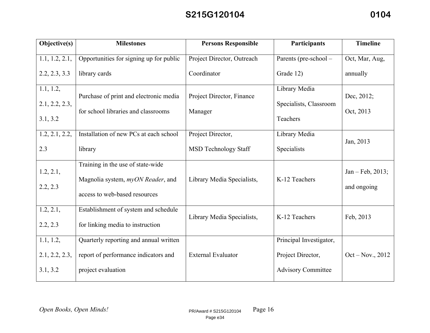| Objective(s)                            | <b>Milestones</b>                                                                                       | <b>Persons Responsible</b>                       | Participants                                                              | <b>Timeline</b>                   |
|-----------------------------------------|---------------------------------------------------------------------------------------------------------|--------------------------------------------------|---------------------------------------------------------------------------|-----------------------------------|
| 1.1, 1.2, 2.1,                          | Opportunities for signing up for public                                                                 | Project Director, Outreach                       | Parents (pre-school -                                                     | Oct, Mar, Aug,                    |
| 2.2, 2.3, 3.3                           | library cards                                                                                           | Coordinator                                      | Grade 12)                                                                 | annually                          |
| 1.1, 1.2,<br>2.1, 2.2, 2.3,<br>3.1, 3.2 | Purchase of print and electronic media<br>for school libraries and classrooms                           | Project Director, Finance<br>Manager             | Library Media<br>Specialists, Classroom<br>Teachers                       | Dec, 2012;<br>Oct, 2013           |
| 1.2, 2.1, 2.2,<br>2.3                   | Installation of new PCs at each school<br>library                                                       | Project Director,<br><b>MSD Technology Staff</b> | Library Media<br>Specialists                                              | Jan, 2013                         |
| 1.2, 2.1,<br>2.2, 2.3                   | Training in the use of state-wide<br>Magnolia system, myON Reader, and<br>access to web-based resources | Library Media Specialists,                       | K-12 Teachers                                                             | $Jan - Feb, 2013;$<br>and ongoing |
| 1.2, 2.1,<br>2.2, 2.3                   | Establishment of system and schedule<br>for linking media to instruction                                | Library Media Specialists,                       | K-12 Teachers                                                             | Feb, 2013                         |
| 1.1, 1.2,<br>2.1, 2.2, 2.3,<br>3.1, 3.2 | Quarterly reporting and annual written<br>report of performance indicators and<br>project evaluation    | <b>External Evaluator</b>                        | Principal Investigator,<br>Project Director,<br><b>Advisory Committee</b> | $Oct - Nov., 2012$                |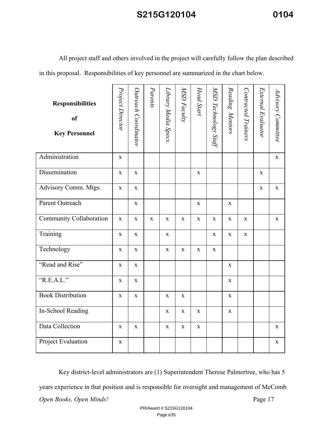All project staff and others involved in the project will carefully follow the plan described in this proposal. Responsibilities of key personnel are summarized in the chart below.

| <b>Responsibilities</b><br>of<br><b>Key Personnel</b> | Project Director | Outreach Coordinator | Parents     | Library Media Specs. | MSD Faculty | Head Start  | MSD Technology Staff | Reading Mentors | Contracted Trainers | External Evaluator | Advisory Committee |
|-------------------------------------------------------|------------------|----------------------|-------------|----------------------|-------------|-------------|----------------------|-----------------|---------------------|--------------------|--------------------|
| Administration                                        | $\mathbf X$      |                      |             |                      |             |             |                      |                 |                     |                    | $\mathbf X$        |
| Dissemination                                         | $\mathbf{X}$     | $\mathbf X$          |             |                      |             | $\mathbf X$ |                      |                 |                     | $\mathbf X$        |                    |
| Advisory Comm. Mtgs.                                  | $\mathbf X$      | $\mathbf X$          |             |                      |             |             |                      |                 |                     | X                  | X                  |
| Parent Outreach                                       |                  | $\mathbf X$          |             |                      |             | X           |                      | $\mathbf X$     |                     |                    |                    |
| Community Collaboration                               | $\mathbf X$      | $\mathbf X$          | $\mathbf X$ | $\mathbf X$          | $\mathbf X$ | $\mathbf X$ | $\mathbf X$          | $\mathbf X$     | $\mathbf X$         |                    | $\mathbf X$        |
| Training                                              | $\mathbf{X}$     | $\mathbf X$          |             | $\mathbf X$          |             |             | $\mathbf X$          | $\mathbf X$     | $\mathbf X$         |                    |                    |
| Technology                                            | $\mathbf X$      | X                    |             | $\mathbf X$          | $\mathbf X$ | X           | X                    |                 |                     |                    |                    |
| "Read and Rise"                                       | $\mathbf X$      | $\mathbf X$          |             |                      |             |             |                      | $\mathbf X$     |                     |                    |                    |
| R.E.A.L.                                              | $\mathbf X$      | $\mathbf X$          |             |                      |             |             |                      | $\mathbf X$     |                     |                    |                    |
| <b>Book Distribution</b>                              | $\mathbf X$      | $\mathbf X$          |             | $\mathbf X$          | $\mathbf X$ |             |                      | X               |                     |                    |                    |
| In-School Reading                                     |                  |                      |             | $\mathbf X$          | $\mathbf X$ | X           |                      | $\mathbf X$     |                     |                    |                    |
| Data Collection                                       | $\mathbf X$      | $\mathbf X$          |             | $\mathbf X$          | $\mathbf X$ | $\mathbf X$ |                      |                 |                     |                    | $\mathbf X$        |
| Project Evaluation                                    | $\mathbf X$      |                      |             |                      |             |             |                      |                 |                     |                    | $\mathbf X$        |

*Open Books, Open Minds!* Page 17 Key district-level administrators are (1) Superintendent Therese Palmertree, who has 5 years experience in that position and is responsible for oversight and management of McComb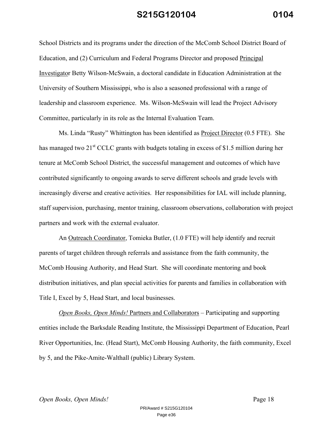School Districts and its programs under the direction of the McComb School District Board of Education, and (2) Curriculum and Federal Programs Director and proposed Principal Investigator Betty Wilson-McSwain, a doctoral candidate in Education Administration at the University of Southern Mississippi, who is also a seasoned professional with a range of leadership and classroom experience. Ms. Wilson-McSwain will lead the Project Advisory Committee, particularly in its role as the Internal Evaluation Team.

Ms. Linda "Rusty" Whittington has been identified as Project Director (0.5 FTE). She has managed two 21<sup>st</sup> CCLC grants with budgets totaling in excess of \$1.5 million during her tenure at McComb School District, the successful management and outcomes of which have contributed significantly to ongoing awards to serve different schools and grade levels with increasingly diverse and creative activities. Her responsibilities for IAL will include planning, staff supervision, purchasing, mentor training, classroom observations, collaboration with project partners and work with the external evaluator.

An Outreach Coordinator, Tomieka Butler, (1.0 FTE) will help identify and recruit parents of target children through referrals and assistance from the faith community, the McComb Housing Authority, and Head Start. She will coordinate mentoring and book distribution initiatives, and plan special activities for parents and families in collaboration with Title I, Excel by 5, Head Start, and local businesses.

*Open Books, Open Minds!* Partners and Collaborators – Participating and supporting entities include the Barksdale Reading Institute, the Mississippi Department of Education, Pearl River Opportunities, Inc. (Head Start), McComb Housing Authority, the faith community, Excel by 5, and the Pike-Amite-Walthall (public) Library System.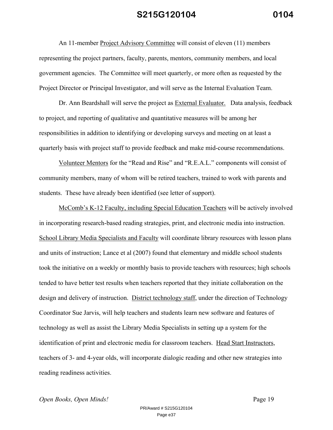An 11-member Project Advisory Committee will consist of eleven (11) members representing the project partners, faculty, parents, mentors, community members, and local government agencies. The Committee will meet quarterly, or more often as requested by the Project Director or Principal Investigator, and will serve as the Internal Evaluation Team.

Dr. Ann Beardshall will serve the project as **External Evaluator.** Data analysis, feedback to project, and reporting of qualitative and quantitative measures will be among her responsibilities in addition to identifying or developing surveys and meeting on at least a quarterly basis with project staff to provide feedback and make mid-course recommendations.

Volunteer Mentors for the "Read and Rise" and "R.E.A.L." components will consist of community members, many of whom will be retired teachers, trained to work with parents and students. These have already been identified (see letter of support).

McComb's K-12 Faculty, including Special Education Teachers will be actively involved in incorporating research-based reading strategies, print, and electronic media into instruction. School Library Media Specialists and Faculty will coordinate library resources with lesson plans and units of instruction; Lance et al (2007) found that elementary and middle school students took the initiative on a weekly or monthly basis to provide teachers with resources; high schools tended to have better test results when teachers reported that they initiate collaboration on the design and delivery of instruction. District technology staff, under the direction of Technology Coordinator Sue Jarvis, will help teachers and students learn new software and features of technology as well as assist the Library Media Specialists in setting up a system for the identification of print and electronic media for classroom teachers. Head Start Instructors, teachers of 3- and 4-year olds, will incorporate dialogic reading and other new strategies into reading readiness activities.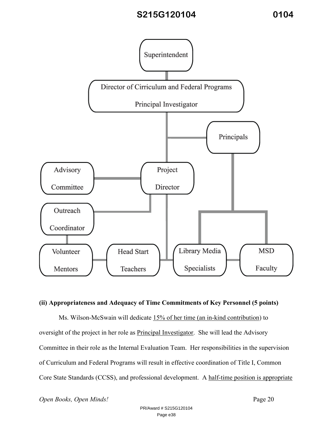

### **(ii) Appropriateness and Adequacy of Time Commitments of Key Personnel (5 points)**

Ms. Wilson-McSwain will dedicate 15% of her time (an in-kind contribution) to oversight of the project in her role as Principal Investigator. She will lead the Advisory Committee in their role as the Internal Evaluation Team. Her responsibilities in the supervision of Curriculum and Federal Programs will result in effective coordination of Title I, Common Core State Standards (CCSS), and professional development. A half-time position is appropriate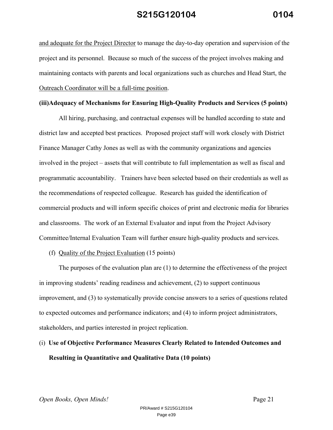and adequate for the Project Director to manage the day-to-day operation and supervision of the project and its personnel. Because so much of the success of the project involves making and maintaining contacts with parents and local organizations such as churches and Head Start, the Outreach Coordinator will be a full-time position.

### **(iii)Adequacy of Mechanisms for Ensuring High-Quality Products and Services (5 points)**

All hiring, purchasing, and contractual expenses will be handled according to state and district law and accepted best practices. Proposed project staff will work closely with District Finance Manager Cathy Jones as well as with the community organizations and agencies involved in the project – assets that will contribute to full implementation as well as fiscal and programmatic accountability. Trainers have been selected based on their credentials as well as the recommendations of respected colleague. Research has guided the identification of commercial products and will inform specific choices of print and electronic media for libraries and classrooms. The work of an External Evaluator and input from the Project Advisory Committee/Internal Evaluation Team will further ensure high-quality products and services.

### (f) Quality of the Project Evaluation (15 points)

The purposes of the evaluation plan are (1) to determine the effectiveness of the project in improving students' reading readiness and achievement, (2) to support continuous improvement, and (3) to systematically provide concise answers to a series of questions related to expected outcomes and performance indicators; and (4) to inform project administrators, stakeholders, and parties interested in project replication.

# (i) **Use of Objective Performance Measures Clearly Related to Intended Outcomes and Resulting in Quantitative and Qualitative Data (10 points)**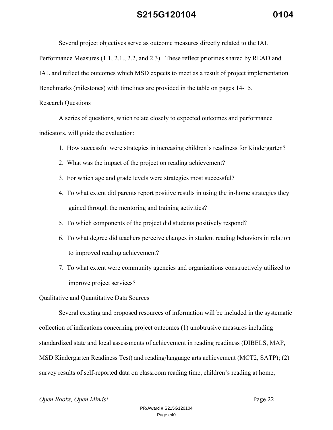Several project objectives serve as outcome measures directly related to the IAL

Performance Measures (1.1, 2.1., 2.2, and 2.3). These reflect priorities shared by READ and

IAL and reflect the outcomes which MSD expects to meet as a result of project implementation.

Benchmarks (milestones) with timelines are provided in the table on pages 14-15.

### Research Questions

A series of questions, which relate closely to expected outcomes and performance indicators, will guide the evaluation:

- 1. How successful were strategies in increasing children's readiness for Kindergarten?
- 2. What was the impact of the project on reading achievement?
- 3. For which age and grade levels were strategies most successful?
- 4. To what extent did parents report positive results in using the in-home strategies they gained through the mentoring and training activities?
- 5. To which components of the project did students positively respond?
- 6. To what degree did teachers perceive changes in student reading behaviors in relation to improved reading achievement?
- 7. To what extent were community agencies and organizations constructively utilized to improve project services?

### Qualitative and Quantitative Data Sources

Several existing and proposed resources of information will be included in the systematic collection of indications concerning project outcomes (1) unobtrusive measures including standardized state and local assessments of achievement in reading readiness (DIBELS, MAP, MSD Kindergarten Readiness Test) and reading/language arts achievement (MCT2, SATP); (2) survey results of self-reported data on classroom reading time, children's reading at home,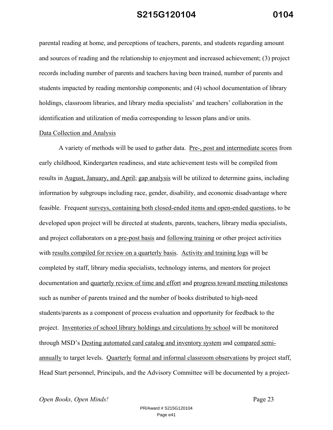parental reading at home, and perceptions of teachers, parents, and students regarding amount and sources of reading and the relationship to enjoyment and increased achievement; (3) project records including number of parents and teachers having been trained, number of parents and students impacted by reading mentorship components; and (4) school documentation of library holdings, classroom libraries, and library media specialists' and teachers' collaboration in the identification and utilization of media corresponding to lesson plans and/or units.

#### Data Collection and Analysis

A variety of methods will be used to gather data. Pre-, post and intermediate scores from early childhood, Kindergarten readiness, and state achievement tests will be compiled from results in August, January, and April; gap analysis will be utilized to determine gains, including information by subgroups including race, gender, disability, and economic disadvantage where feasible. Frequent surveys, containing both closed-ended items and open-ended questions, to be developed upon project will be directed at students, parents, teachers, library media specialists, and project collaborators on a pre-post basis and following training or other project activities with results compiled for review on a quarterly basis. Activity and training logs will be completed by staff, library media specialists, technology interns, and mentors for project documentation and quarterly review of time and effort and progress toward meeting milestones such as number of parents trained and the number of books distributed to high-need students/parents as a component of process evaluation and opportunity for feedback to the project. Inventories of school library holdings and circulations by school will be monitored through MSD's Desting automated card catalog and inventory system and compared semiannually to target levels. Quarterly formal and informal classroom observations by project staff, Head Start personnel, Principals, and the Advisory Committee will be documented by a project-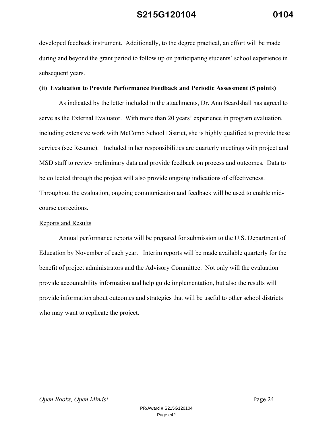developed feedback instrument. Additionally, to the degree practical, an effort will be made during and beyond the grant period to follow up on participating students' school experience in subsequent years.

### **(ii) Evaluation to Provide Performance Feedback and Periodic Assessment (5 points)**

As indicated by the letter included in the attachments, Dr. Ann Beardshall has agreed to serve as the External Evaluator. With more than 20 years' experience in program evaluation, including extensive work with McComb School District, she is highly qualified to provide these services (see Resume). Included in her responsibilities are quarterly meetings with project and MSD staff to review preliminary data and provide feedback on process and outcomes. Data to be collected through the project will also provide ongoing indications of effectiveness. Throughout the evaluation, ongoing communication and feedback will be used to enable midcourse corrections.

#### Reports and Results

Annual performance reports will be prepared for submission to the U.S. Department of Education by November of each year. Interim reports will be made available quarterly for the benefit of project administrators and the Advisory Committee. Not only will the evaluation provide accountability information and help guide implementation, but also the results will provide information about outcomes and strategies that will be useful to other school districts who may want to replicate the project.